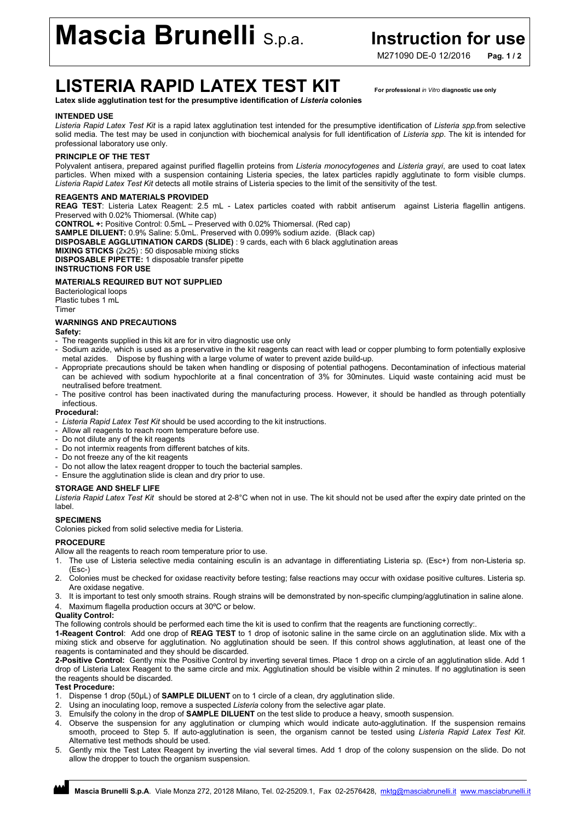# Mascia Brunelli S.p.a. Instruction for use

M271090 DF-0 12/2016 Pag. 1/2

### LISTERIA RAPID LATEX TEST KIT For professional *in Vitro* diagnostic use only

Latex slide agglutination test for the presumptive identification of *Listeria* colonies

#### INTENDED USE

*Listeria Rapid Latex Test Kit* is a rapid latex agglutination test intended for the presumptive identification of *Listeria spp.*from selective solid media. The test may be used in conjunction with biochemical analysis for full identification of *Listeria spp*. The kit is intended for professional laboratory use only.

#### PRINCIPLE OF THE TEST

Polyvalent antisera, prepared against purified flagellin proteins from *Listeria monocytogenes* and *Listeria grayi*, are used to coat latex particles. When mixed with a suspension containing Listeria species, the latex particles rapidly agglutinate to form visible clumps. *Listeria Rapid Latex Test Kit* detects all motile strains of Listeria species to the limit of the sensitivity of the test.

#### REAGENTS AND MATERIALS PROVIDED

REAG TEST: Listeria Latex Reagent: 2.5 mL - Latex particles coated with rabbit antiserum against Listeria flagellin antigens. Preserved with 0.02% Thiomersal. (White cap)

CONTROL +: Positive Control: 0.5mL – Preserved with 0.02% Thiomersal. (Red cap)

SAMPLE DILUENT: 0.9% Saline: 5.0mL. Preserved with 0.099% sodium azide. (Black cap)

DISPOSABLE AGGLUTINATION CARDS (SLIDE) : 9 cards, each with 6 black agglutination areas

MIXING STICKS (2x25) : 50 disposable mixing sticks DISPOSABLE PIPETTE: 1 disposable transfer pipette

INSTRUCTIONS FOR USE

### MATERIALS REQUIRED BUT NOT SUPPLIED

Bacteriological loops Plastic tubes 1 mL Timer

#### WARNINGS AND PRECAUTIONS

Safety:

- The reagents supplied in this kit are for in vitro diagnostic use only
- Sodium azide, which is used as a preservative in the kit reagents can react with lead or copper plumbing to form potentially explosive metal azides. Dispose by flushing with a large volume of water to prevent azide build-up.
- Appropriate precautions should be taken when handling or disposing of potential pathogens. Decontamination of infectious material can be achieved with sodium hypochlorite at a final concentration of 3% for 30minutes. Liquid waste containing acid must be neutralised before treatment.
- The positive control has been inactivated during the manufacturing process. However, it should be handled as through potentially infectious.

#### Procedural:

- *Listeria Rapid Latex Test Kit* should be used according to the kit instructions.
- Allow all reagents to reach room temperature before use.
- Do not dilute any of the kit reagents
- Do not intermix reagents from different batches of kits.
- Do not freeze any of the kit reagents
- Do not allow the latex reagent dropper to touch the bacterial samples.
- Ensure the agglutination slide is clean and dry prior to use.

#### STORAGE AND SHELF LIFE

*Listeria Rapid Latex Test Kit* should be stored at 2-8°C when not in use. The kit should not be used after the expiry date printed on the label.

#### **SPECIMENS**

Colonies picked from solid selective media for Listeria.

#### **PROCEDURE**

Allow all the reagents to reach room temperature prior to use.

- 1. The use of Listeria selective media containing esculin is an advantage in differentiating Listeria sp. (Esc+) from non-Listeria sp. (Esc-)
- 2. Colonies must be checked for oxidase reactivity before testing; false reactions may occur with oxidase positive cultures. Listeria sp. Are oxidase negative.
- 3. It is important to test only smooth strains. Rough strains will be demonstrated by non-specific clumping/agglutination in saline alone. 4. Maximum flagella production occurs at 30ºC or below.

#### Quality Control:

The following controls should be performed each time the kit is used to confirm that the reagents are functioning correctly:.

1-Reagent Control: Add one drop of REAG TEST to 1 drop of isotonic saline in the same circle on an agglutination slide. Mix with a mixing stick and observe for agglutination. No agglutination should be seen. If this control shows agglutination, at least one of the reagents is contaminated and they should be discarded.

2-Positive Control: Gently mix the Positive Control by inverting several times. Place 1 drop on a circle of an agglutination slide. Add 1 drop of Listeria Latex Reagent to the same circle and mix. Agglutination should be visible within 2 minutes. If no agglutination is seen the reagents should be discarded.

#### Test Procedure:

- 1. Dispense 1 drop (50μL) of SAMPLE DILUENT on to 1 circle of a clean, dry agglutination slide.
- 2. Using an inoculating loop, remove a suspected *Listeria* colony from the selective agar plate.
- 3. Emulsify the colony in the drop of **SAMPLE DILUENT** on the test slide to produce a heavy, smooth suspension.
- 4. Observe the suspension for any agglutination or clumping which would indicate auto-agglutination. If the suspension remains smooth, proceed to Step 5. If auto-agglutination is seen, the organism cannot be tested using *Listeria Rapid Latex Test Kit*. Alternative test methods should be used.
- 5. Gently mix the Test Latex Reagent by inverting the vial several times. Add 1 drop of the colony suspension on the slide. Do not allow the dropper to touch the organism suspension.